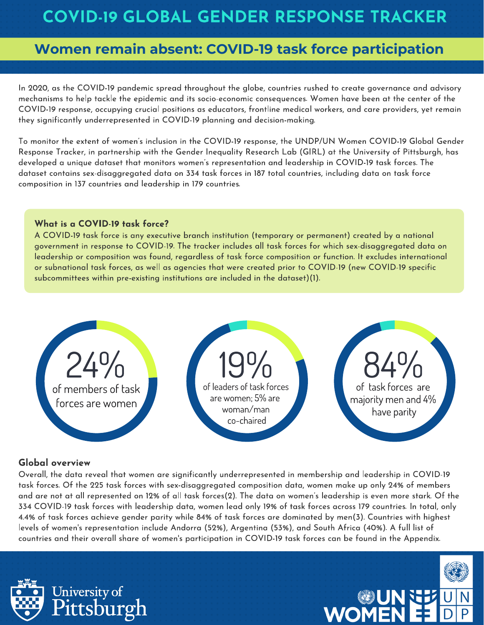In 2020, as the COVID-19 pandemic spread throughout the globe, countries rushed to create governance and advisory mechanisms to help tackle the epidemic and its socio-economic consequences. Women have been at the center of the COVID-19 response, occupying crucial positions as educators, frontline medical workers, and care providers, yet remain they significantly underrepresented in COVID-19 planning and decision-making.

To monitor the extent of women's inclusion in the COVID-19 response, the UNDP/UN Women COVID-19 Global Gender Response Tracker, in partnership with the Gender Inequality Research Lab (GIRL) at the University of Pittsburgh, has developed a unique dataset that monitors women's representation and leadership in COVID-19 task forces. The dataset contains sex-disaggregated data on 334 task forces in 187 total countries, including data on task force composition in 137 countries and leadership in 179 countries.

#### What is a COVID-19 task force?

A COVID-19 task force is any executive branch institution (temporary or permanent) created by a national government in response to COVID-19. The tracker includes all task forces for which sex-disaggregated data on leadership or composition was found, regardless of task force composition or function. It excludes international or subnational task forces, as well as agencies that were created prior to COVID-19 (new COVID-19 specific subcommittees within pre-existing institutions are included in the dataset)(1).



#### Global overview

Overall, the data reveal that women are significantly underrepresented in membership and leadership in COVID-19 task forces. Of the 225 task forces with sex-disaggregated composition data, women make up only 24% of members and are not at all represented on 12% of all task forces(2). The data on women's leadership is even more stark. Of the 334 COVID-19 task forces with leadership data, women lead only 19% of task forces across 179 countries. In total, only 4.4% of task forces achieve gender parity while 84% of task forces are dominated by men(3). Countries with highest levels of women's representation include Andorra (52%), Argentina (53%), and South Africa (40%). A full list of countries and their overall share of women's participation in COVID-19 task forces can be found in the Appendix.



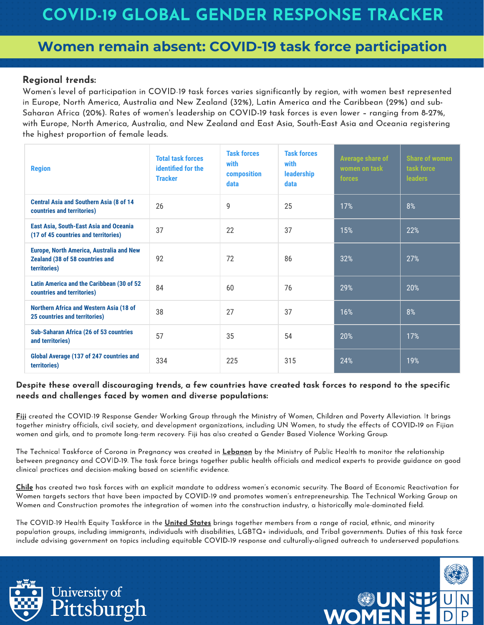#### Regional trends:

Women's level of participation in COVID-19 task forces varies significantly by region, with women best represented in Europe, North America, Australia and New Zealand (32%), Latin America and the Caribbean (29%) and sub-Saharan Africa (20%). Rates of women's leadership on COVID-19 task forces is even lower – ranging from 8-27%, with Europe, North America, Australia, and New Zealand and East Asia, South-East Asia and Oceania registering the highest proportion of female leads.

| <b>Region</b>                                                                                      | <b>Total task forces</b><br>identified for the<br><b>Tracker</b> | <b>Task forces</b><br>with<br>composition<br>data | <b>Task forces</b><br>with<br><b>leadership</b><br>data | <b>Average share of</b><br>women on task<br><b>forces</b> | <b>Share of women</b><br>task force<br><b>leaders</b> |
|----------------------------------------------------------------------------------------------------|------------------------------------------------------------------|---------------------------------------------------|---------------------------------------------------------|-----------------------------------------------------------|-------------------------------------------------------|
| <b>Central Asia and Southern Asia (8 of 14</b><br>countries and territories)                       | 26                                                               | 9                                                 | 25                                                      | 17%                                                       | 8%                                                    |
| <b>East Asia, South-East Asia and Oceania</b><br>(17 of 45 countries and territories)              | 37                                                               | 22                                                | 37                                                      | 15%                                                       | 22%                                                   |
| <b>Europe, North America, Australia and New</b><br>Zealand (38 of 58 countries and<br>territories) | 92                                                               | 72                                                | 86                                                      | 32%                                                       | 27%                                                   |
| Latin America and the Caribbean (30 of 52<br>countries and territories)                            | 84                                                               | 60                                                | 76                                                      | 29%                                                       | 20%                                                   |
| <b>Northern Africa and Western Asia (18 of</b><br><b>25 countries and territories)</b>             | 38                                                               | 27                                                | 37                                                      | 16%                                                       | 8%                                                    |
| <b>Sub-Saharan Africa (26 of 53 countries</b><br>and territories)                                  | 57                                                               | 35                                                | 54                                                      | 20%                                                       | 17%                                                   |
| Global Average (137 of 247 countries and<br>territories)                                           | 334                                                              | 225                                               | 315                                                     | 24%                                                       | 19%                                                   |

#### Despite these overall discouraging trends, a few countries have created task forces to respond to the specific needs and challenges faced by women and diverse populations:

Fiji created the COVID-19 Response Gender Working Group through the Ministry of Women, Children and Poverty Alleviation. It brings together ministry officials, civil society, and development organizations, including UN Women, to study the effects of COVID-19 on Fijian women and girls, and to promote long-term recovery. Fiji has also created a Gender Based Violence Working Group.

The Technical Taskforce of Corona in Pregnancy was created in Lebanon by the Ministry of Public Health to monitor the relationship between pregnancy and COVID-19. The task force brings together public health officials and medical experts to provide guidance on good clinical practices and decision-making based on scientific evidence.

Chile has created two task forces with an explicit mandate to address women's economic security. The Board of Economic Reactivation for Women targets sectors that have been impacted by COVID-19 and promotes women's entrepreneurship. The Technical Working Group on Women and Construction promotes the integration of women into the construction industry, a historically male-dominated field.

The COVID-19 Health Equity Taskforce in the United States brings together members from a range of racial, ethnic, and minority population groups, including immigrants, individuals with disabilities, LGBTQ+ individuals, and Tribal governments. Duties of this task force include advising government on topics including equitable COVID-19 response and culturally-aligned outreach to underserved populations.



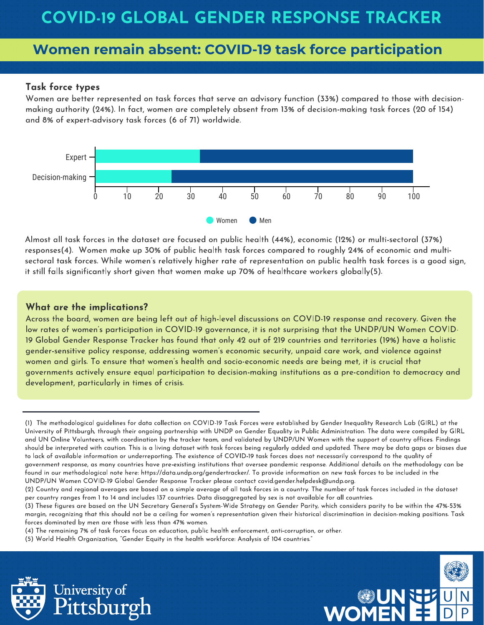#### Task force types

Women are better represented on task forces that serve an advisory function (33%) compared to those with decisionmaking authority (24%). In fact, women are completely absent from 13% of decision-making task forces (20 of 154) and 8% of expert-advisory task forces (6 of 71) worldwide.



Almost all task forces in the dataset are focused on public health (44%), economic (12%) or multi-sectoral (37%) responses(4). Women make up 30% of public health task forces compared to roughly 24% of economic and multisectoral task forces. While women's relatively higher rate of representation on public health task forces is a good sign, it still falls significantly short given that women make up 70% of healthcare workers globally(5).

#### What are the implications?

Across the board, women are being left out of high-level discussions on COVID-19 response and recovery. Given the low rates of women's participation in COVID-19 governance, it is not surprising that the UNDP/UN Women COVID-19 Global Gender Response Tracker has found that only 42 out of 219 countries and territories (19%) have a holistic gender-sensitive policy response, addressing women's economic security, unpaid care work, and violence against women and girls. To ensure that women's health and socio-economic needs are being met, it is crucial that governments actively ensure equal participation to decision-making institutions as a pre-condition to democracy and development, particularly in times of crisis.

(4) The remaining 7% of task forces focus on education, public health enforcement, anti-corruption, or other.

(5) World Health Organization, "Gender Equity in the health workforce: Analysis of 104 countries."





<sup>(1)</sup> The methodological guidelines for data collection on COVID-19 Task Forces were established by Gender Inequality Research Lab (GIRL) at the University of Pittsburgh, through their ongoing partnership with UNDP on Gender Equality in Public Administration. The data were compiled by GIRL and UN Online Volunteers, with coordination by the tracker team, and validated by UNDP/UN Women with the support of country offices. Findings should be interpreted with caution. This is a living dataset with task forces being regularly added and updated. There may be data gaps or biases due to lack of available information or underreporting. The existence of COVID-19 task forces does not necessarily correspond to the quality of government response, as many countries have pre-existing institutions that oversee pandemic response. Additional details on the methodology can be found in our methodological note here: https://data.undp.org/gendertracker/. To provide information on new task forces to be included in the UNDP/UN Women COVID-19 Global Gender Response Tracker please contact covid.gender.helpdesk@undp.org.

<sup>(2)</sup> Country and regional averages are based on a simple average of all task forces in a country. The number of task forces included in the dataset per country ranges from 1 to 14 and includes 137 countries. Data disaggregated by sex is not available for all countries.

<sup>(3)</sup> These figures are based on the UN Secretary General's System-Wide Strategy on Gender Parity, which considers parity to be within the 47%-53% margin, recognizing that this should not be a ceiling for women's representation given their historical discrimination in decision-making positions. Task forces dominated by men are those with less than 47% women.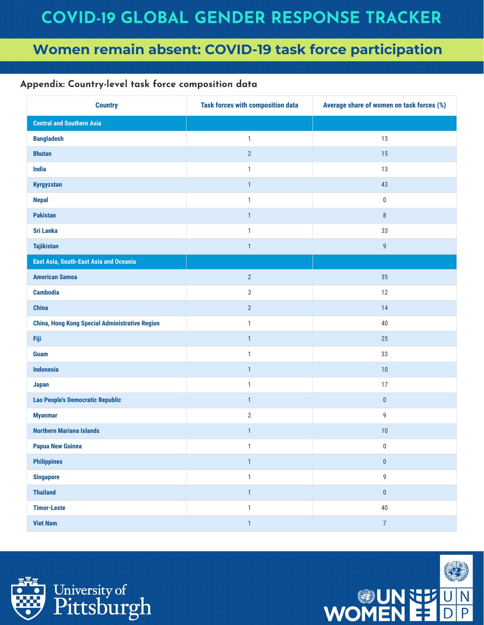### Appendix: Country-level task force composition data

| <b>Country</b>                                        | <b>Task forces with composition data</b> | Average share of women on task forces (%) |
|-------------------------------------------------------|------------------------------------------|-------------------------------------------|
| <b>Central and Southern Asia</b>                      |                                          |                                           |
| <b>Bangladesh</b>                                     | $\mathbf{1}$                             | 13                                        |
| <b>Bhutan</b>                                         | $\overline{2}$                           | 15                                        |
| India                                                 | $\mathbf{1}$                             | 13                                        |
| <b>Kyrgyzstan</b>                                     | $\mathbf{1}$                             | 43                                        |
| <b>Nepal</b>                                          | $\mathbf{1}$                             | $\boldsymbol{0}$                          |
| <b>Pakistan</b>                                       | $\mathbf{1}$                             | $\,8\,$                                   |
| <b>Sri Lanka</b>                                      | $\mathbf{1}$                             | 33                                        |
| <b>Tajikistan</b>                                     | $\mathbbm{1}$                            | $\mathsf g$                               |
| East Asia, South-East Asia and Oceania                |                                          |                                           |
| <b>American Samoa</b>                                 | $\sqrt{2}$                               | 35                                        |
| <b>Cambodia</b>                                       | $\ensuremath{\mathsf{3}}$                | 12                                        |
| <b>China</b>                                          | $\overline{2}$                           | 14                                        |
| <b>China, Hong Kong Special Administrative Region</b> | $\mathbf{1}$                             | $40\,$                                    |
| Fiji                                                  | $\mathbf{1}$                             | 25                                        |
| <b>Guam</b>                                           | $\mathbf{1}$                             | 33                                        |
| <b>Indonesia</b>                                      | $\mathbf{1}$                             | 10                                        |
| <b>Japan</b>                                          | $\mathbf{1}$                             | 17                                        |
| <b>Lao People's Democratic Republic</b>               | $\mathbf{1}$                             | $\pmb{0}$                                 |
| <b>Myanmar</b>                                        | $\sqrt{2}$                               | 9                                         |
| <b>Northern Mariana Islands</b>                       | $\mathbf{1}$                             | $10\,$                                    |
| <b>Papua New Guinea</b>                               | $\mathbf{1}$                             | $\boldsymbol{0}$                          |
| <b>Philippines</b>                                    | $\mathbbm{1}$                            | $\pmb{0}$                                 |
| <b>Singapore</b>                                      | $\mathbbm{1}$                            | 9                                         |
| <b>Thailand</b>                                       | $\mathbbm{1}$                            | $\pmb{0}$                                 |
| <b>Timor-Leste</b>                                    | $\mathbbm{1}$                            | $40\,$                                    |
| <b>Viet Nam</b>                                       | $\mathbbm{1}$                            | $\overline{7}$                            |



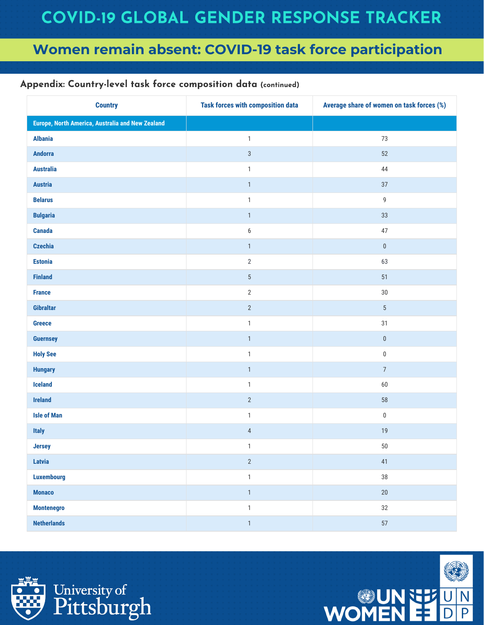| <b>Country</b>                                   | <b>Task forces with composition data</b> | Average share of women on task forces (%) |
|--------------------------------------------------|------------------------------------------|-------------------------------------------|
| Europe, North America, Australia and New Zealand |                                          |                                           |
| <b>Albania</b>                                   | $\mathbf{1}$                             | 73                                        |
| <b>Andorra</b>                                   | $\sqrt{3}$                               | 52                                        |
| <b>Australia</b>                                 | $\mathbbm{1}$                            | 44                                        |
| <b>Austria</b>                                   | $\mathbf{1}$                             | 37                                        |
| <b>Belarus</b>                                   | $\mathbbm{1}$                            | 9                                         |
| <b>Bulgaria</b>                                  | $\mathbf{1}$                             | 33                                        |
| <b>Canada</b>                                    | $\boldsymbol{6}$                         | 47                                        |
| <b>Czechia</b>                                   | $\mathbf{1}$                             | $\pmb{0}$                                 |
| <b>Estonia</b>                                   | $\sqrt{2}$                               | 63                                        |
| <b>Finland</b>                                   | $\overline{5}$                           | 51                                        |
| <b>France</b>                                    | $\sqrt{2}$                               | $30\,$                                    |
| Gibraltar                                        | $\sqrt{2}$                               | $5\,$                                     |
| <b>Greece</b>                                    | $\mathbbm{1}$                            | 31                                        |
| <b>Guernsey</b>                                  | $\mathbf{1}$                             | $\pmb{0}$                                 |
| <b>Holy See</b>                                  | $\mathbbm{1}$                            | $\pmb{0}$                                 |
| <b>Hungary</b>                                   | $\mathbf{1}$                             | $\overline{7}$                            |
| <b>Iceland</b>                                   | $\mathbf{1}$                             | 60                                        |
| <b>Ireland</b>                                   | $\sqrt{2}$                               | 58                                        |
| <b>Isle of Man</b>                               | $\mathbbm{1}$                            | $\pmb{0}$                                 |
| <b>Italy</b>                                     | $\overline{4}$                           | $19$                                      |
| <b>Jersey</b>                                    | $\mathbf{1}$                             | $50\,$                                    |
| Latvia                                           | $\overline{2}$                           | 41                                        |
| <b>Luxembourg</b>                                | $\mathbbm{1}$                            | $38\,$                                    |
| <b>Monaco</b>                                    | $\mathbf{1}$                             | $20\,$                                    |
| <b>Montenegro</b>                                | $\mathbf{1}$                             | 32                                        |
| <b>Netherlands</b>                               | $\mathbf{1}$                             | 57                                        |



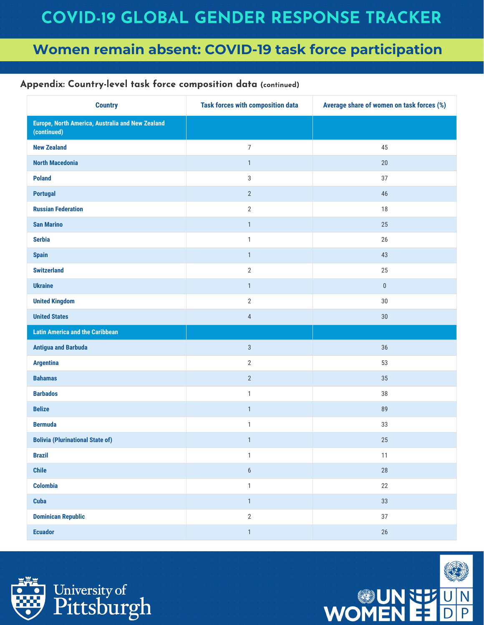| <b>Country</b>                                                  | <b>Task forces with composition data</b> | Average share of women on task forces (%) |
|-----------------------------------------------------------------|------------------------------------------|-------------------------------------------|
| Europe, North America, Australia and New Zealand<br>(continued) |                                          |                                           |
| <b>New Zealand</b>                                              | $\overline{7}$                           | 45                                        |
| <b>North Macedonia</b>                                          | $\mathbf{1}$                             | 20                                        |
| <b>Poland</b>                                                   | $\sqrt{3}$                               | 37                                        |
| <b>Portugal</b>                                                 | $\sqrt{2}$                               | 46                                        |
| <b>Russian Federation</b>                                       | $\sqrt{2}$                               | 18                                        |
| <b>San Marino</b>                                               | $\mathbf{1}$                             | 25                                        |
| <b>Serbia</b>                                                   | $\mathbf{1}$                             | 26                                        |
| <b>Spain</b>                                                    | $\mathbf{1}$                             | 43                                        |
| <b>Switzerland</b>                                              | $\sqrt{2}$                               | 25                                        |
| <b>Ukraine</b>                                                  | $\mathbf{1}$                             | $\pmb{0}$                                 |
| <b>United Kingdom</b>                                           | $\sqrt{2}$                               | 30                                        |
| <b>United States</b>                                            | $\sqrt{4}$                               | $30\,$                                    |
| <b>Latin America and the Caribbean</b>                          |                                          |                                           |
| <b>Antigua and Barbuda</b>                                      | $\sqrt{3}$                               | 36                                        |
| <b>Argentina</b>                                                | $\sqrt{2}$                               | 53                                        |
| <b>Bahamas</b>                                                  | $\sqrt{2}$                               | $35\,$                                    |
| <b>Barbados</b>                                                 | $\mathbf{1}$                             | 38                                        |
| <b>Belize</b>                                                   | $\mathbf{1}$                             | 89                                        |
| <b>Bermuda</b>                                                  | $\mathbf{1}$                             | 33                                        |
| <b>Bolivia (Plurinational State of)</b>                         | $\mathbf{1}$                             | 25                                        |
| <b>Brazil</b>                                                   | $\mathbf{1}$                             | 11                                        |
| <b>Chile</b>                                                    | $\boldsymbol{6}$                         | $28\,$                                    |
| <b>Colombia</b>                                                 | $\mathbf{1}$                             | 22                                        |
| <b>Cuba</b>                                                     | $\mathbf{1}$                             | $33\,$                                    |
| <b>Dominican Republic</b>                                       | $\overline{2}$                           | 37                                        |
| <b>Ecuador</b>                                                  | $\mathbbm{1}$                            | $26\,$                                    |



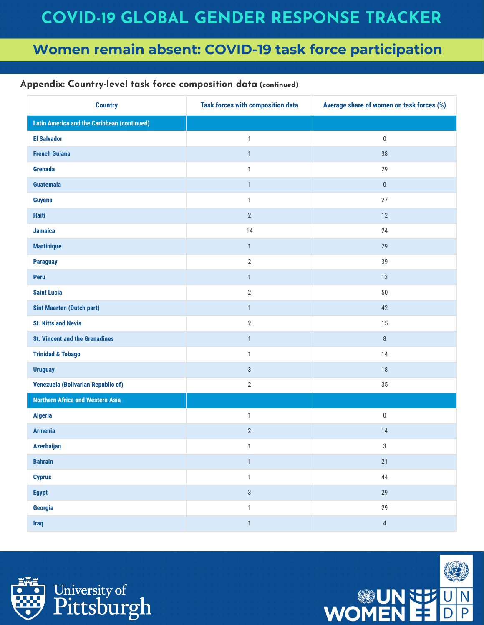| <b>Country</b>                                     | <b>Task forces with composition data</b> | Average share of women on task forces (%) |
|----------------------------------------------------|------------------------------------------|-------------------------------------------|
| <b>Latin America and the Caribbean (continued)</b> |                                          |                                           |
| <b>El Salvador</b>                                 | $\mathbf{1}$                             | $\boldsymbol{0}$                          |
| <b>French Guiana</b>                               | $\mathbf{1}$                             | $38\,$                                    |
| <b>Grenada</b>                                     | $\mathbf{1}$                             | 29                                        |
| <b>Guatemala</b>                                   | $\mathbf{1}$                             | $\pmb{0}$                                 |
| Guyana                                             | $\mathbf{1}$                             | 27                                        |
| <b>Haiti</b>                                       | $\overline{2}$                           | 12                                        |
| <b>Jamaica</b>                                     | 14                                       | 24                                        |
| <b>Martinique</b>                                  | $\mathbf{1}$                             | 29                                        |
| <b>Paraguay</b>                                    | $\sqrt{2}$                               | 39                                        |
| Peru                                               | $\mathbf{1}$                             | 13                                        |
| <b>Saint Lucia</b>                                 | $\overline{2}$                           | $50\,$                                    |
| <b>Sint Maarten (Dutch part)</b>                   | $\mathbf{1}$                             | 42                                        |
| <b>St. Kitts and Nevis</b>                         | $\sqrt{2}$                               | 15                                        |
| <b>St. Vincent and the Grenadines</b>              | $\mathbf{1}$                             | $\, 8$                                    |
| <b>Trinidad &amp; Tobago</b>                       | $\mathbf{1}$                             | 14                                        |
| <b>Uruguay</b>                                     | $\sqrt{3}$                               | $18$                                      |
| <b>Venezuela (Bolivarian Republic of)</b>          | $\overline{2}$                           | $35\,$                                    |
| <b>Northern Africa and Western Asia</b>            |                                          |                                           |
| <b>Algeria</b>                                     | $\mathbf{1}$                             | $\boldsymbol{0}$                          |
| <b>Armenia</b>                                     | $\overline{2}$                           | 14                                        |
| <b>Azerbaijan</b>                                  | $\mathbf{1}$                             | 3                                         |
| <b>Bahrain</b>                                     | $\mathbf{1}$                             | 21                                        |
| <b>Cyprus</b>                                      | $\mathbbm{1}$                            | $44\,$                                    |
| <b>Egypt</b>                                       | $\sqrt{3}$                               | 29                                        |
| Georgia                                            | $\mathbbm{1}$                            | 29                                        |
| <b>Iraq</b>                                        | $\mathbf{1}$                             | $\overline{4}$                            |



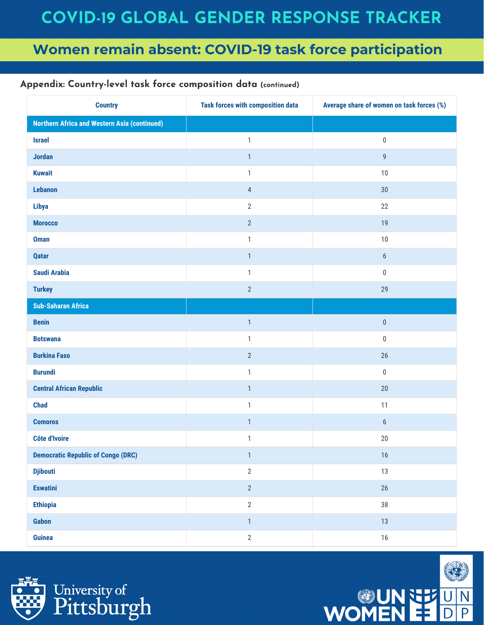| <b>Country</b>                                      | <b>Task forces with composition data</b> | Average share of women on task forces (%) |
|-----------------------------------------------------|------------------------------------------|-------------------------------------------|
| <b>Northern Africa and Western Asia (continued)</b> |                                          |                                           |
| <b>Israel</b>                                       | $\mathbf{1}$                             | $\pmb{0}$                                 |
| <b>Jordan</b>                                       | $\mathbf{1}$                             | $\mathsf g$                               |
| <b>Kuwait</b>                                       | $\mathbf{1}$                             | $10$                                      |
| Lebanon                                             | $\overline{4}$                           | 30                                        |
| <b>Libya</b>                                        | $2\,$                                    | 22                                        |
| <b>Morocco</b>                                      | $\sqrt{2}$                               | 19                                        |
| <b>Oman</b>                                         | $\mathbf{1}$                             | $10$                                      |
| <b>Qatar</b>                                        | $\mathbf{1}$                             | $\boldsymbol{6}$                          |
| <b>Saudi Arabia</b>                                 | $\mathbf{1}$                             | $\pmb{0}$                                 |
| <b>Turkey</b>                                       | $\overline{2}$                           | 29                                        |
| <b>Sub-Saharan Africa</b>                           |                                          |                                           |
| <b>Benin</b>                                        | $\mathbf{1}$                             | $\pmb{0}$                                 |
| <b>Botswana</b>                                     | $\mathbf{1}$                             | $\pmb{0}$                                 |
| <b>Burkina Faso</b>                                 | $2\,$                                    | 26                                        |
| <b>Burundi</b>                                      | $\mathbf{1}$                             | $\pmb{0}$                                 |
| <b>Central African Republic</b>                     | $\mathbf{1}$                             | 20                                        |
| <b>Chad</b>                                         | $\mathbf{1}$                             | 11                                        |
| <b>Comoros</b>                                      | $\mathbf{1}$                             | $\boldsymbol{6}$                          |
| <b>Côte d'Ivoire</b>                                | $\mathbf{1}$                             | 20                                        |
| <b>Democratic Republic of Congo (DRC)</b>           | $\mathbf{1}$                             | $16$                                      |
| <b>Djibouti</b>                                     | $\sqrt{2}$                               | 13                                        |
| <b>Eswatini</b>                                     | $\overline{2}$                           | 26                                        |
| <b>Ethiopia</b>                                     | $\sqrt{2}$                               | $38\,$                                    |
| Gabon                                               | $\mathbf{1}$                             | 13                                        |
| <b>Guinea</b>                                       | $\sqrt{2}$                               | $16\,$                                    |